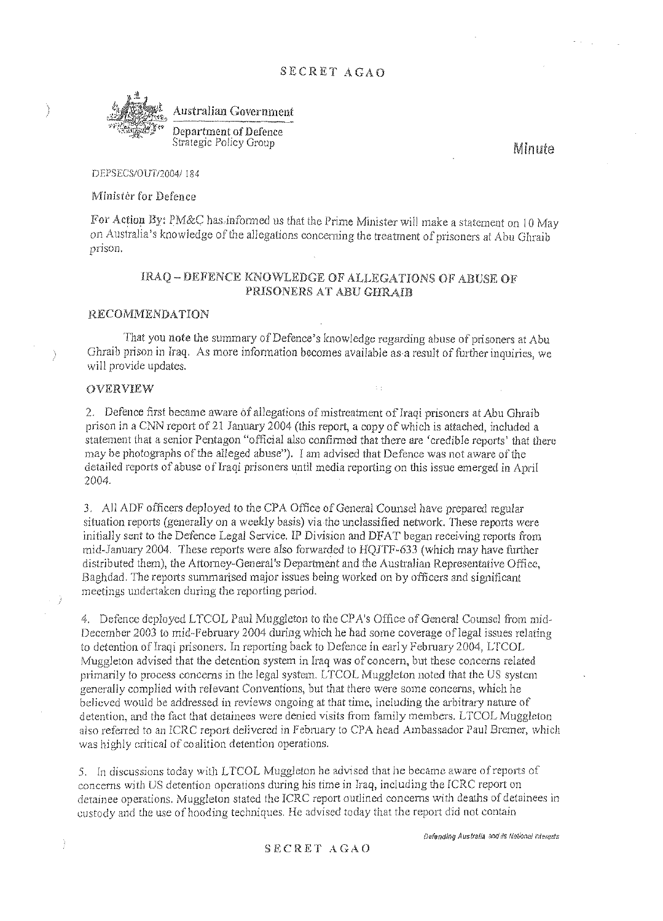

Australian Government

Department of Defeoce Strategic Policy Group

Minute

*DEPSECS/OUTI20041 184* 

Minister for Defence

For Action By: PM&C has.informed us that the Prime Minister will make a statement on 10 May on Australia's knowledge of the allegations concerning the treatment of prisoners at Abll Ghraib prison.

# IRAQ - DEFENCE KNOWLEDGE OF ALLEGATIONS OF ABUSE OF PRISONERS AT ABU GHRAfB

# RECOMMENDA TION

That you note the summary of Defence's knowledge regarding abuse of prisoners at Abu Ghraib prison in Iraq. As more information becomes available as a result of further inquiries, we will provide updates.

### OVERVIEW

2. Defence first became aware of allegations of mistreatment of Iraqi prisoners at Abu Ghraib prison in a CNN report of 21 January 2004 (this report, a copy of which is attached, included a statement that a senior Pentagon "official also confirmed that there are 'credible reports' that there may be photographs of the alleged abuse"). I am advised that Defence was not aware of the detailed reports of abuse of Iraqi prisoners until media reporting on this issue emerged in April 2004.

3. All ADP officers deployed to the CPA Office of General Counsel have prepared regular situation reports (generally on a weekly basis) via the unclassified network. These reports were initially sent to the Defence Legal Service. IP Division and DFAT began receiving reports from mid-January 2004. These reports were also forwarded to HQJTF-633 (which may have further distributed them), the Attorney-General's Department and the Australian Representative Office, Baghdad. The reports summarised major issues being worked on by officers and significant meetings undertaken during the reporting period.

4. Defence deployed LTCOL Paul Muggleton to the CPA's Office of General Counsel from mid-December 2003 to mid-February 2004 during which he had some coverage of legal issues relating to detention of Iraqi prisoners. In reporting back to Defence in early February 2004, LTCOL Muggleton advised that the detention system in Iraq was of concern, but these concerns related primarily to process concerns in the legal system. LTCOL Muggleton noted that the US system generally complied with relevant Conventions, but that there were some concerns, which he believed would be addressed in reviews ongoing at that time, including the arbitrary nature of detention, and the fact that detainees were denied visits from family members. LTCOL Muggleton also referred to an ICRC report delivered in February to CPA head Ambassador Paul Bremer, which was highly critical of coalition detention operations.

5. In discussions today with LTCOL Muggleton he advised that he became aware of reports of concerns with US detention operations during his time in Iraq, including the ICRC report on detainee operations. Muggleton stated the ICRC report outlined concerns with deaths of detainees in custody and the use of hooding techniques. He advised today that the report did not contain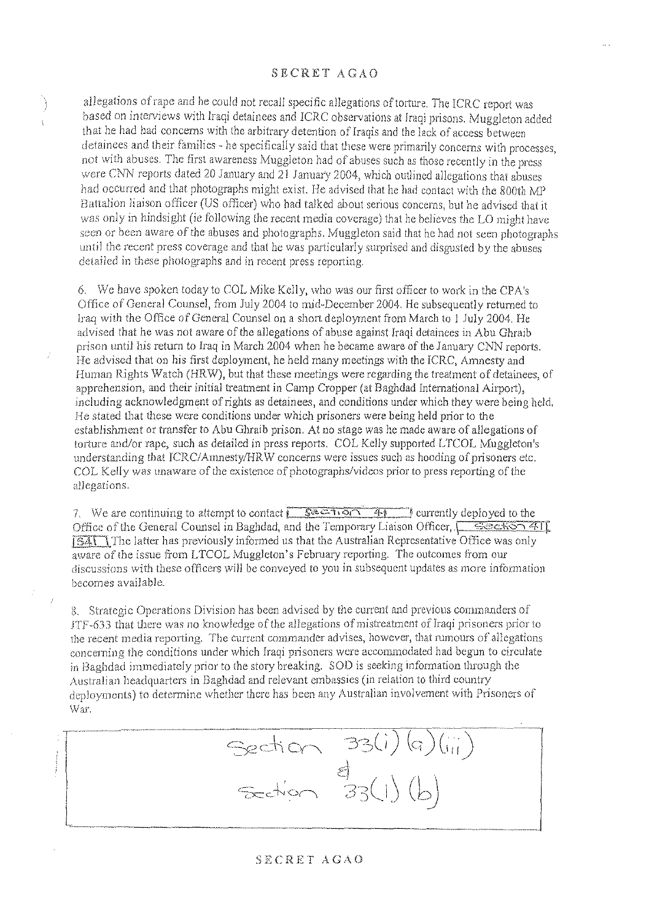# SECRET AGAO

*allegations* of rape and he could not recall specific allegations of torture, The [CRC report was based on interviews with Iraqi detainees and ICRC observations at Iraqi prisons, Muggleton added that he had had concerns with the arbitrary detention of Iraqis and the lack of access between detainees and their families - he specifically said that these were primarily concerns with processes, not with abuses. The first awareness Muggleton had of abuses such as those recently in the press were CNN reports dated 20 January and 21 January 2004, which outlined allegations that abuses had occurred and that photographs might exist. He advised that he had contact with the 800th *MP*  Battalion liaison officer (US officer) who had talked about serious concerns, but he advised that it was only in hindsight (ie following the recent media coverage) that he believes the LO might have seen or been aware of the abuses and photographs. Muggleton said that he had not seen photographs until the recent press coverage and that he was particularly surprised and disgusted by the abuses detailed in these photographs and in recent press reporting.

6. We have spoken today to COL Mike Kelly, who was our first officer to work in the CPA's Office of General Counsel, from July 2004 to mid-December 2004. He subsequently returned to Iraq with the Office of General Counsel on a short deployment from March to 1 July 2004. He advised that he was not aware of the allegations of abuse against Iraqi detainees in Abu Ghraib prison until his return to Iraq in March 2.004 when he became aware of the January CNN reports. He advised that on his first deployment, he held many meetings with the rCRC, Amnesty and Human Rights Watch (HRW), but that these meetings were regarding the treatment of detainees, of apprehension, and their initial treatment in Camp Cropper (at Baghdad International Airport), including acknowledgment of rights as detainees, and conditions under which they were being held. He stared that these were conditions under which prisoners were being held prior to the establishment or transfer to Abu Ghraib prison. At no stage was he made aware of allegations of torture and/or rape, such as detailed in press reports. COL Kelly supported LTCOL Muggleton's understanding that ICRC/Amnesty/HRW concerns were issues such as hooding of prisoners etc. COL Kelly was unaware of the existence of photographs/videos prior to press reporting of the *allegations.* 

7. We are continuing to attempt to contact  $\sum$   $\frac{1}{2}$   $\frac{1}{2}$   $\frac{1}{2}$  currently deployed to the Office of the General Counsel in Baghdad, and the Temporary Liaison Officer, [  $\leq$   $\leq$   $\leq$   $\leq$   $\leq$   $\leq$   $\leq$   $\leq$   $\leq$   $\leq$   $\leq$   $\leq$   $\leq$   $\leq$   $\leq$   $\leq$   $\leq$   $\leq$   $\leq$   $\leq$   $\leq$   $\leq$   $\leq$   $\leq$  $\sqrt{341}$ . The latter has previously informed us that the Australian Representative Office was only aware of the issue from LTCOL Muggleton's February reporting. The outcomes from our discussions with these officers will be conveyed to you in subsequent updates as more information becomes available,

8. Strategic Operations Division has been advised by the current and previous commanders of ITF-633 that there was no knowledge of the allegations of mistreatment of Iraqi prisoners prior to the recent media reponing. The current commander advises, however, that rumours of allegatioos concerning the conditions under which Iraqi prisoners were accommodated had begun to circulate in Baghdad immediately prior to the story breaking. SOD is seeking information through the Australian headquarters in Baghdad and relevant embassies (in relation to third country deployments) to determine whether there has been any Australian involvement with Prisoners of  $\text{War.}$ 

 $\frac{1}{2}$   $\frac{1}{2}$   $\frac{1}{2}$   $\frac{1}{2}$   $\frac{1}{2}$   $\frac{1}{2}$   $\frac{1}{2}$   $\frac{1}{2}$   $\frac{1}{2}$  $33(1)(b)$ "--'''~~--''-- -~'-"--------'---~-.,,--

#### SECRET AGAO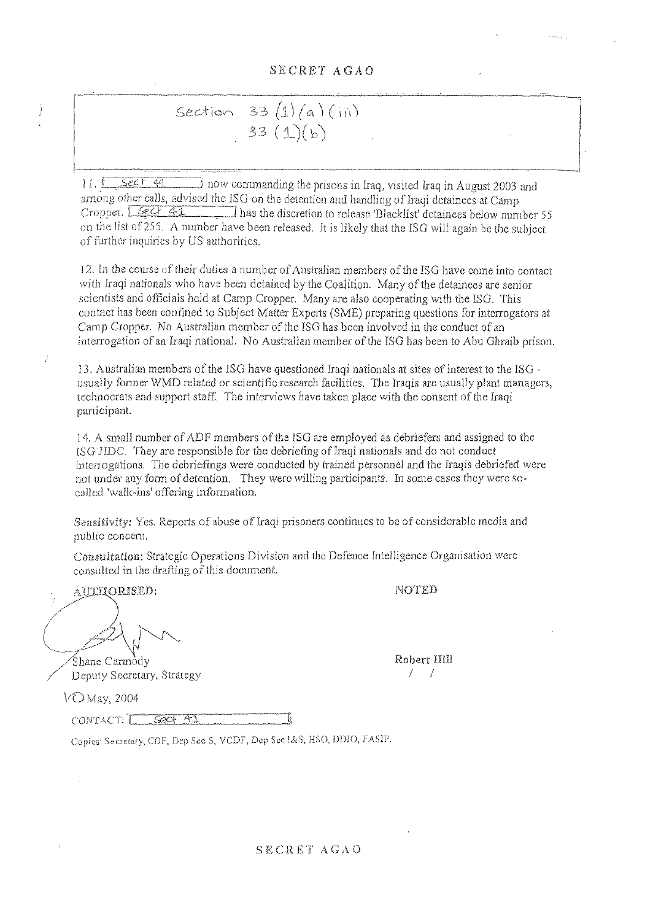# SECRET AGAG

 $Section 33 (1) (a) (iii)$ 33  $(1)(b)$ 

11.  $\sqrt{2e^{2}+41}$  now commanding the prisons in Iraq, visited Iraq in August 2003 and among other calls, advised the ISG on the detention and handling of Iraqi detainees at Camp Cropper. <u>[Sect 41.</u>] has the discretion to release 'Blacklist' detainees below number 55. on the list of 255. A number have been released. It is likely that the ISG will again be the subject of further inquiries by US authorities.

12. In the course of their duties a number of Australian members of the ISG have come into contact with lraqi nationals who have been detained by the Coalition. Many of the detainees are senior scientists and officials held at Camp Cropper. Many are also cooperating with the ISG. This contact has been confined to Subject Matter Experts (SME) preparing questions for interrogators at Camp Cropper. No Australian member of the ISG has been involved in the conduct of an interrogation of an Iraqi national. No Australian member of the ISG has been to Abu Ghraib prison.

13. Australian members of the ISG have questioned Iraqi nationals at sites of interest to the ISG usually former WMD related or scientific research facilities. The Iraqis are usually plant managers, technocrats and support staff. The interviews have taken place with the consent of the Iraqi **participant.** 

14. A small number of ADF members of the ISG are employed as debriefers and assigned to the ISG J lDC. They are responsible for the debriefing of Iraqi nationals and do not conduct interrogations. The debriefings were conducted by trained personnel and the Iraqis debriefed were not under any form of detention. They were willing participants. In some cases they were socalled 'walk·ins' offering information.

Sensitivity: Yes. Reports of abuse of Iraqi prisoners continues to be of considerable media and **public concern,** 

Consultation: Strategic Operations Division and the Defence Intelligence Organisation were consulted in the drafting of this document.

 $\Lambda$ UTHORISED:

NOTED

Robert Hill  $\frac{1}{2}$ 

 $\mathbb{Z}$ 

Shane Carmody Deputy Secretary, Strategy

\/0 May, )004

**CONTACT:**  $\sqrt{2}$  **CONTACT:**  $\sqrt{2}$ 

Copies: Secretary, CDF, Dep Sec S, VCDF, Dep Sec 1&S, HSO, DDIO, FASIP.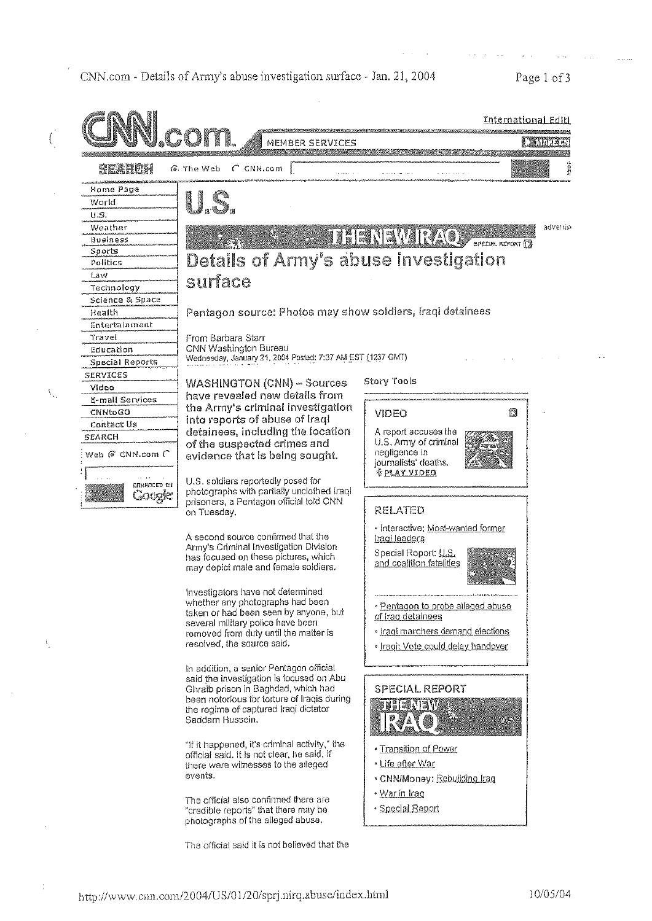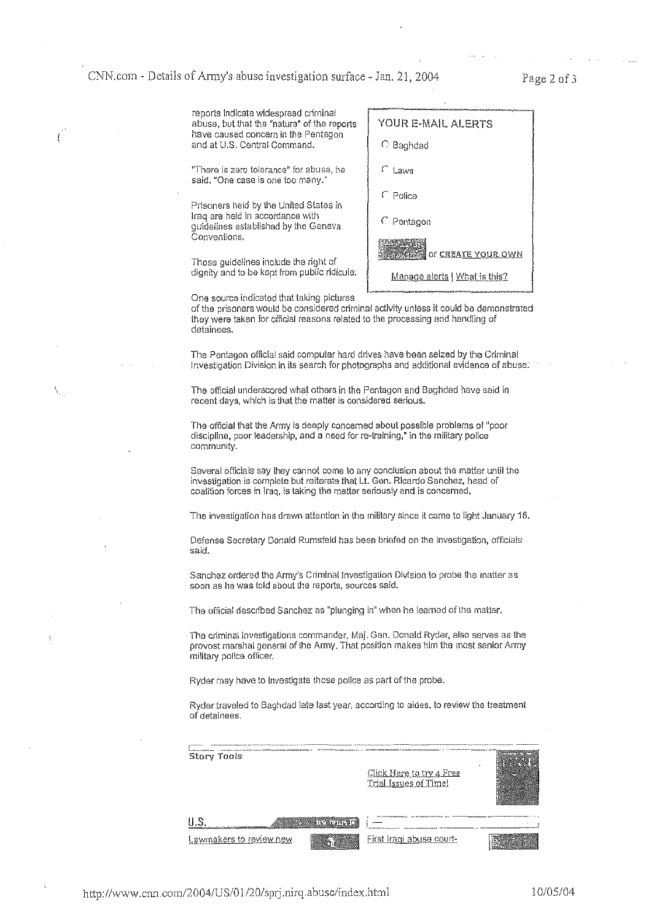#### CNN.com - Details of Army's abuse investigation surface - Jan. 21, 2004

#### Page 2 of 3

reports Indicate widespread criminal abuse, but that the "nature" of the reports have caused concem in the Pentagon and at U,S, Central Command.

"There is zero tolerance" for abuse, he said. "One case is one too many."

Prisoners held by the United States in Iraq are held In accordance with guidelines established by the Geneva Conventions.

| YOUR E-MAIL ALERTS                    |
|---------------------------------------|
| $C$ Baghdad                           |
| $C$ Laws                              |
| $\subset$ Police                      |
| C Pentagon                            |
| OF CREATE YOUR OWN                    |
| <u> Manage alerts [ What is this?</u> |
|                                       |

Those guidelines include the right of dignity and 10 be kopt from public ridicule.

On8 source indicated that taking pictures

of the prisoners would be considered criminal activity unless it could be demonstrated they were taken for official reasons related to the processing and handling of detainees.

The Pentagon official said computer hard drives have been setzed by the Criminal Investigation Division in its search for photographs and additional evidence of abuse.

The official underscored what others in the Pentagon and Baghdad have said in recent days, which is that the matter is considered serious.

The official that the Army is deeply concerned about possible problems of "poor discipline, poor leadership, and a need for re-training," in the military police community.

Several officials say they cannot come to any conclusion about the matter until the investigation is complete but reiterate that Lt. Gen. Rlcardo Sanchaz, head of coalition forces in Iraq, is taking the matter seriously and is concerned,

The investigation has drawn attention in the military since it came to light January 16.

Defense Secretary Donald Rumsfeld has been briefed on the Investigation, officials said.

Sanchez ordered the Army's Criminal Investigation Division to probe the matter as soon as he was told about the reports, sources said.

The official described Sanchez as "plunging in" when he learned of the matter,

The criminal investigations commander, Maj. Gen. Donald Ryder, also serves as the provost marshal general of Ihe Army. That position makes him the most senior Army military police officer.

Ryder may have to investigate those police as part of the probe.

Ryder traveled to Baghdad late last year, according to aides, to review the treatment of detainees.

| Story Tools                     | Click Here to try 4 Free<br>Trial Issues of Timel |
|---------------------------------|---------------------------------------------------|
| an ann a                        | --                                                |
| Lawmakers t <u>o review new</u> | First Iragi abuse court-                          |